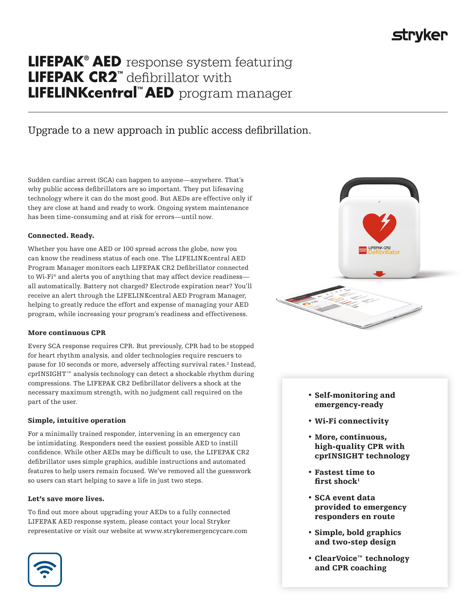# **strvker**

## **LIFEPAK® AED** response system featuring **LIFEPAK CR2™** defibrillator with **LIFELINKcentral™ AED** program manager

### Upgrade to a new approach in public access defibrillation.

Sudden cardiac arrest (SCA) can happen to anyone—anywhere. That's why public access defibrillators are so important. They put lifesaving technology where it can do the most good. But AEDs are effective only if they are close at hand and ready to work. Ongoing system maintenance has been time-consuming and at risk for errors—until now.

### Connected. Ready.

Whether you have one AED or 100 spread across the globe, now you can know the readiness status of each one. The LIFELINKcentral AED Program Manager monitors each LIFEPAK CR2 Defibrillator connected to Wi-Fi® and alerts you of anything that may affect device readiness all automatically. Battery not charged? Electrode expiration near? You'll receive an alert through the LIFELINKcentral AED Program Manager, helping to greatly reduce the effort and expense of managing your AED program, while increasing your program's readiness and effectiveness.

### More continuous CPR

Every SCA response requires CPR. But previously, CPR had to be stopped for heart rhythm analysis, and older technologies require rescuers to pause for 10 seconds or more, adversely affecting survival rates.<sup>2</sup> Instead, cprINSIGHT™ analysis technology can detect a shockable rhythm during compressions. The LIFEPAK CR2 Defibrillator delivers a shock at the necessary maximum strength, with no judgment call required on the part of the user.

### Simple, intuitive operation

For a minimally trained responder, intervening in an emergency can be intimidating. Responders need the easiest possible AED to instill confidence. While other AEDs may be difficult to use, the LIFEPAK CR2 defibrillator uses simple graphics, audible instructions and automated features to help users remain focused. We've removed all the guesswork so users can start helping to save a life in just two steps.

### Let's save more lives.

To find out more about upgrading your AEDs to a fully connected LIFEPAK AED response system, please contact your local Stryker representative or visit our website at www.strykeremergencycare.com





- Self-monitoring and emergency-ready
- Wi-Fi connectivity
- More, continuous, high-quality CPR with cprINSIGHT technology
- Fastest time to first shock $<sup>1</sup>$ </sup>
- SCA event data provided to emergency responders en route
- Simple, bold graphics and two-step design
- ClearVoice™ technology and CPR coaching